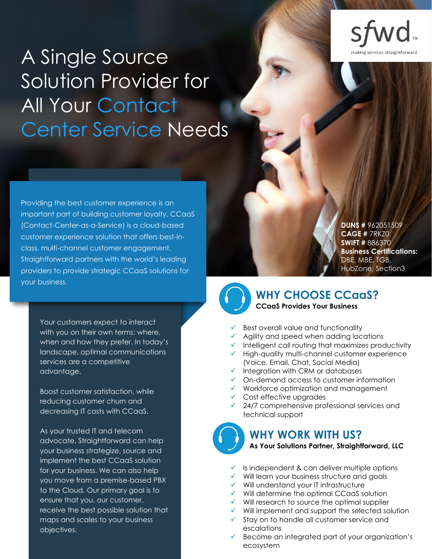ng services straightforwa

# A Single Source Solution Provider for All Your Contact Center Service Needs

Providing the best customer experience is an important part of building customer loyalty. CCaaS (Contact-Center-as-a-Service) is a cloud-based customer experience solution that offers best-inclass, multi-channel customer engagement. Straightforward partners with the world's leading providers to provide strategic CCaaS solutions for your business.

> Your customers expect to interact with you on their own terms: where, when and how they prefer. In today's landscape, optimal communications services are a competitive advantage.

Boost customer satisfaction, while reducing customer churn and decreasing IT costs with CCaaS.

As your trusted IT and telecom advocate, Straightforward can help your business strategize, source and implement the best CCaaS solution for your business. We can also help you move from a premise-based PBX to the Cloud. Our primary goal is to ensure that you, our customer, receive the best possible solution that maps and scales to your business objectives.

**DUNS #** 962051509 **CAGE #** 7RKZ0 **SWIFT #** 886370 **Business Certifications:** DBE, MBE, TGB, HubZone, Section3



## **WHY CHOOSE CCaaS? CCaaS Provides Your Business**

- Best overall value and functionality
- Agility and speed when adding locations
- Intelligent call routing that maximizes productivity
- ✓ High-quality multi-channel customer experience (Voice, Email, Chat, Social Media)
- $\checkmark$  Integration with CRM or databases
- ✓ On-demand access to customer information
- ✓ Workforce optimization and management
- ✓ Cost effective upgrades
- ✓ 24/7 comprehensive professional services and technical support

# **WHY WORK WITH US?**

#### **As Your Solutions Partner, Straightforward, LLC**

- $\checkmark$  Is independent & can deliver multiple options
- ✓ Will learn your business structure and goals
- ✓ Will understand your IT infrastructure
- ✓ Will determine the optimal CCaaS solution
- $\checkmark$  Will research to source the optimal supplier
- $\checkmark$  Will implement and support the selected solution
- ✓ Stay on to handle all customer service and escalations
- ✓ Become an integrated part of your organization's ecosystem